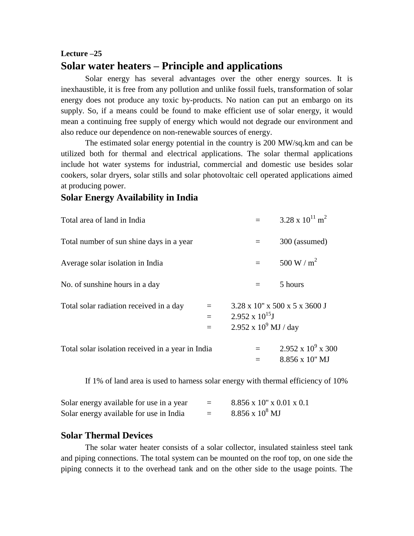# **Lecture –25 Solar water heaters – Principle and applications**

Solar energy has several advantages over the other energy sources. It is inexhaustible, it is free from any pollution and unlike fossil fuels, transformation of solar energy does not produce any toxic by-products. No nation can put an embargo on its supply. So, if a means could be found to make efficient use of solar energy, it would mean a continuing free supply of energy which would not degrade our environment and also reduce our dependence on non-renewable sources of energy.

The estimated solar energy potential in the country is 200 MW/sq.km and can be utilized both for thermal and electrical applications. The solar thermal applications include hot water systems for industrial, commercial and domestic use besides solar cookers, solar dryers, solar stills and solar photovoltaic cell operated applications aimed at producing power.

## **Solar Energy Availability in India**

| Total area of land in India                       |            |                                                          | $3.28 \times 10^{11}$ m <sup>2</sup>                 |
|---------------------------------------------------|------------|----------------------------------------------------------|------------------------------------------------------|
| Total number of sun shine days in a year          |            | $=$                                                      | 300 (assumed)                                        |
| Average solar isolation in India                  |            | $=$                                                      | 500 W / $m^2$                                        |
| No. of sunshine hours in a day                    |            | $=$                                                      | 5 hours                                              |
| Total solar radiation received in a day           | $=$<br>$=$ | $2.952 \times 10^{15}$ J<br>$2.952 \times 10^9$ MJ / day | $3.28 \times 10'' \times 500 \times 5 \times 3600$ J |
| Total solar isolation received in a year in India |            |                                                          | $2.952 \times 10^9 \times 300$<br>8.856 x 10" MJ     |

If 1% of land area is used to harness solar energy with thermal efficiency of 10%

| Solar energy available for use in a year | $=$ | $8.856 \times 10" \times 0.01 \times 0.1$ |
|------------------------------------------|-----|-------------------------------------------|
| Solar energy available for use in India  | $=$ | $8.856 \times 10^8$ MJ                    |

### **Solar Thermal Devices**

The solar water heater consists of a solar collector, insulated stainless steel tank and piping connections. The total system can be mounted on the roof top, on one side the piping connects it to the overhead tank and on the other side to the usage points. The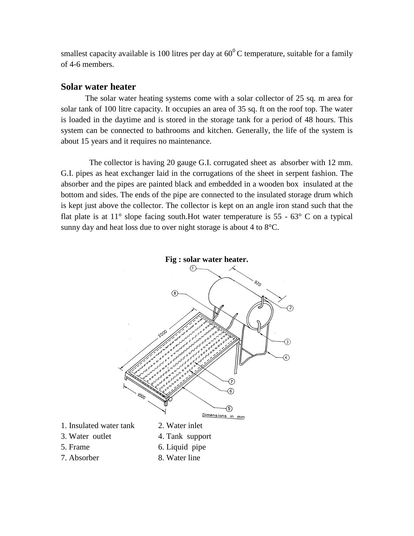smallest capacity available is 100 litres per day at  $60^{\circ}$ C temperature, suitable for a family of 4-6 members.

### **Solar water heater**

The solar water heating systems come with a solar collector of 25 sq. m area for solar tank of 100 litre capacity. It occupies an area of 35 sq. ft on the roof top. The water is loaded in the daytime and is stored in the storage tank for a period of 48 hours. This system can be connected to bathrooms and kitchen. Generally, the life of the system is about 15 years and it requires no maintenance.

 The collector is having 20 gauge G.I. corrugated sheet as absorber with 12 mm. G.I. pipes as heat exchanger laid in the corrugations of the sheet in serpent fashion. The absorber and the pipes are painted black and embedded in a wooden box insulated at the bottom and sides. The ends of the pipe are connected to the insulated storage drum which is kept just above the collector. The collector is kept on an angle iron stand such that the flat plate is at  $11^{\circ}$  slope facing south. Hot water temperature is 55 - 63 $^{\circ}$  C on a typical sunny day and heat loss due to over night storage is about 4 to  $8^{\circ}$ C.

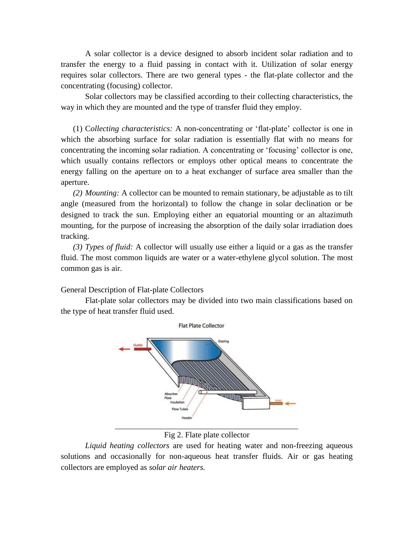A solar collector is a device designed to absorb incident solar radiation and to transfer the energy to a fluid passing in contact with it. Utilization of solar energy requires solar collectors. There are two general types - the flat-plate collector and the concentrating (focusing) collector.

Solar collectors may be classified according to their collecting characteristics, the way in which they are mounted and the type of transfer fluid they employ.

(1) C*ollecting characteristics:* A non-concentrating or 'flat-plate' collector is one in which the absorbing surface for solar radiation is essentially flat with no means for concentrating the incoming solar radiation. A concentrating or 'focusing' collector is one, which usually contains reflectors or employs other optical means to concentrate the energy falling on the aperture on to a heat exchanger of surface area smaller than the aperture.

*(2) Mounting:* A collector can be mounted to remain stationary, be adjustable as to tilt angle (measured from the horizontal) to follow the change in solar declination or be designed to track the sun. Employing either an equatorial mounting or an altazimuth mounting, for the purpose of increasing the absorption of the daily solar irradiation does tracking.

*(3) Types of fluid:* A collector will usually use either a liquid or a gas as the transfer fluid. The most common liquids are water or a water-ethylene glycol solution. The most common gas is air.

General Description of Flat-plate Collectors

Flat-plate solar collectors may be divided into two main classifications based on the type of heat transfer fluid used.



#### Fig 2. Flate plate collector

*Liquid heating collectors* are used for heating water and non-freezing aqueous solutions and occasionally for non-aqueous heat transfer fluids. Air or gas heating collectors are employed as *solar air heaters.*